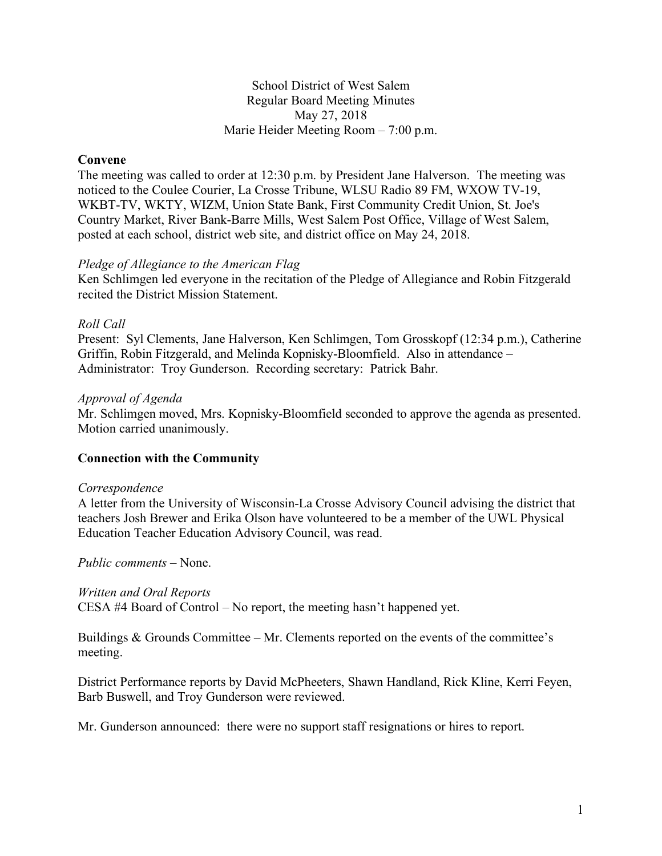## School District of West Salem Regular Board Meeting Minutes May 27, 2018 Marie Heider Meeting Room – 7:00 p.m.

## **Convene**

The meeting was called to order at 12:30 p.m. by President Jane Halverson. The meeting was noticed to the Coulee Courier, La Crosse Tribune, WLSU Radio 89 FM, WXOW TV-19, WKBT-TV, WKTY, WIZM, Union State Bank, First Community Credit Union, St. Joe's Country Market, River Bank-Barre Mills, West Salem Post Office, Village of West Salem, posted at each school, district web site, and district office on May 24, 2018.

### *Pledge of Allegiance to the American Flag*

Ken Schlimgen led everyone in the recitation of the Pledge of Allegiance and Robin Fitzgerald recited the District Mission Statement.

### *Roll Call*

Present: Syl Clements, Jane Halverson, Ken Schlimgen, Tom Grosskopf (12:34 p.m.), Catherine Griffin, Robin Fitzgerald, and Melinda Kopnisky-Bloomfield. Also in attendance – Administrator: Troy Gunderson. Recording secretary: Patrick Bahr.

### *Approval of Agenda*

Mr. Schlimgen moved, Mrs. Kopnisky-Bloomfield seconded to approve the agenda as presented. Motion carried unanimously.

### **Connection with the Community**

#### *Correspondence*

A letter from the University of Wisconsin-La Crosse Advisory Council advising the district that teachers Josh Brewer and Erika Olson have volunteered to be a member of the UWL Physical Education Teacher Education Advisory Council, was read.

*Public comments –* None.

### *Written and Oral Reports*

CESA #4 Board of Control – No report, the meeting hasn't happened yet.

Buildings & Grounds Committee – Mr. Clements reported on the events of the committee's meeting.

District Performance reports by David McPheeters, Shawn Handland, Rick Kline, Kerri Feyen, Barb Buswell, and Troy Gunderson were reviewed.

Mr. Gunderson announced: there were no support staff resignations or hires to report.